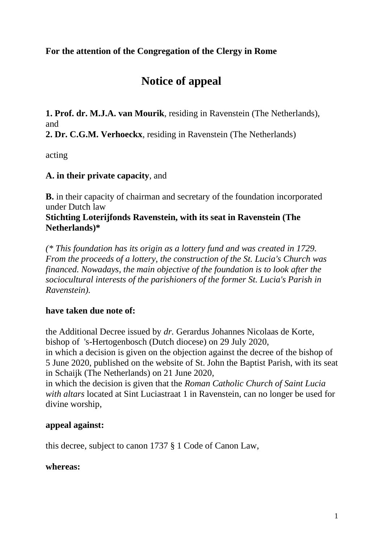## **For the attention of the Congregation of the Clergy in Rome**

# **Notice of appeal**

**1. Prof. dr. M.J.A. van Mourik**, residing in Ravenstein (The Netherlands), and

**2. Dr. C.G.M. Verhoeckx**, residing in Ravenstein (The Netherlands)

acting

## **A. in their private capacity**, and

**B.** in their capacity of chairman and secretary of the foundation incorporated under Dutch law

#### **Stichting Loterijfonds Ravenstein, with its seat in Ravenstein (The Netherlands)\***

*(\* This foundation has its origin as a lottery fund and was created in 1729. From the proceeds of a lottery, the construction of the St. Lucia's Church was financed. Nowadays, the main objective of the foundation is to look after the sociocultural interests of the parishioners of the former St. Lucia's Parish in Ravenstein).*

## **have taken due note of:**

the Additional Decree issued by *dr.* Gerardus Johannes Nicolaas de Korte, bishop of 's-Hertogenbosch (Dutch diocese) on 29 July 2020, in which a decision is given on the objection against the decree of the bishop of 5 June 2020, published on the website of St. John the Baptist Parish, with its seat in Schaijk (The Netherlands) on 21 June 2020,

in which the decision is given that the *Roman Catholic Church of Saint Lucia with altars* located at Sint Luciastraat 1 in Ravenstein, can no longer be used for divine worship,

#### **appeal against:**

this decree, subject to canon 1737 § 1 Code of Canon Law,

#### **whereas:**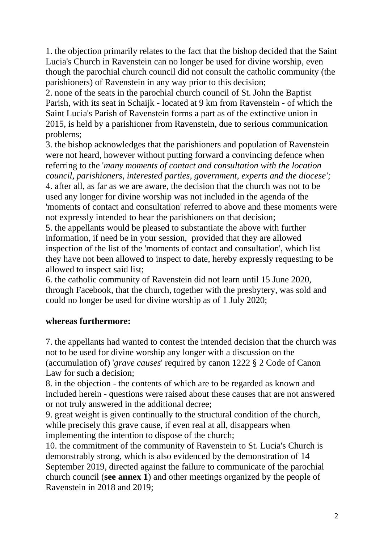1. the objection primarily relates to the fact that the bishop decided that the Saint Lucia's Church in Ravenstein can no longer be used for divine worship, even though the parochial church council did not consult the catholic community (the parishioners) of Ravenstein in any way prior to this decision;

2. none of the seats in the parochial church council of St. John the Baptist Parish, with its seat in Schaijk - located at 9 km from Ravenstein - of which the Saint Lucia's Parish of Ravenstein forms a part as of the extinctive union in 2015, is held by a parishioner from Ravenstein, due to serious communication problems;

3. the bishop acknowledges that the parishioners and population of Ravenstein were not heard, however without putting forward a convincing defence when referring to the '*many moments of contact and consultation with the location council, parishioners, interested parties, government, experts and the diocese';* 4. after all, as far as we are aware, the decision that the church was not to be used any longer for divine worship was not included in the agenda of the 'moments of contact and consultation' referred to above and these moments were not expressly intended to hear the parishioners on that decision;

5. the appellants would be pleased to substantiate the above with further information, if need be in your session, provided that they are allowed inspection of the list of the 'moments of contact and consultation', which list they have not been allowed to inspect to date, hereby expressly requesting to be allowed to inspect said list;

6. the catholic community of Ravenstein did not learn until 15 June 2020, through Facebook, that the church, together with the presbytery, was sold and could no longer be used for divine worship as of 1 July 2020;

## **whereas furthermore:**

7. the appellants had wanted to contest the intended decision that the church was not to be used for divine worship any longer with a discussion on the (accumulation of) '*grave causes*' required by canon 1222 § 2 Code of Canon Law for such a decision;

8. in the objection - the contents of which are to be regarded as known and included herein - questions were raised about these causes that are not answered or not truly answered in the additional decree;

9. great weight is given continually to the structural condition of the church, while precisely this grave cause, if even real at all, disappears when implementing the intention to dispose of the church;

10. the commitment of the community of Ravenstein to St. Lucia's Church is demonstrably strong, which is also evidenced by the demonstration of 14 September 2019, directed against the failure to communicate of the parochial church council (**see annex 1**) and other meetings organized by the people of Ravenstein in 2018 and 2019;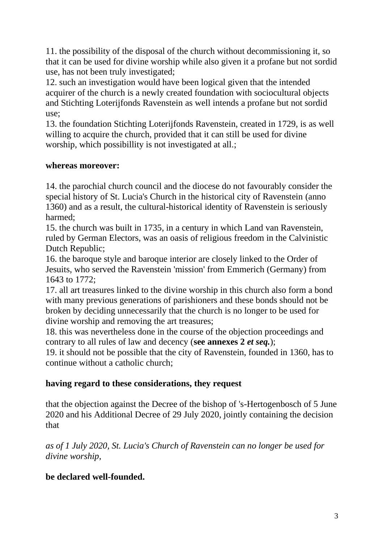11. the possibility of the disposal of the church without decommissioning it, so that it can be used for divine worship while also given it a profane but not sordid use, has not been truly investigated;

12. such an investigation would have been logical given that the intended acquirer of the church is a newly created foundation with sociocultural objects and Stichting Loterijfonds Ravenstein as well intends a profane but not sordid use;

13. the foundation Stichting Loterijfonds Ravenstein, created in 1729, is as well willing to acquire the church, provided that it can still be used for divine worship, which possibillity is not investigated at all.;

### **whereas moreover:**

14. the parochial church council and the diocese do not favourably consider the special history of St. Lucia's Church in the historical city of Ravenstein (anno 1360) and as a result, the cultural-historical identity of Ravenstein is seriously harmed;

15. the church was built in 1735, in a century in which Land van Ravenstein, ruled by German Electors, was an oasis of religious freedom in the Calvinistic Dutch Republic;

16. the baroque style and baroque interior are closely linked to the Order of Jesuits, who served the Ravenstein 'mission' from Emmerich (Germany) from 1643 to 1772;

17. all art treasures linked to the divine worship in this church also form a bond with many previous generations of parishioners and these bonds should not be broken by deciding unnecessarily that the church is no longer to be used for divine worship and removing the art treasures;

18. this was nevertheless done in the course of the objection proceedings and contrary to all rules of law and decency (**see annexes 2** *et seq.*);

19. it should not be possible that the city of Ravenstein, founded in 1360, has to continue without a catholic church;

## **having regard to these considerations, they request**

that the objection against the Decree of the bishop of 's-Hertogenbosch of 5 June 2020 and his Additional Decree of 29 July 2020, jointly containing the decision that

*as of 1 July 2020, St. Lucia's Church of Ravenstein can no longer be used for divine worship,*

## **be declared well-founded.**